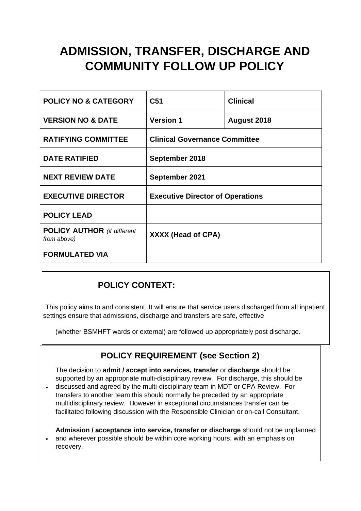# **ADMISSION, TRANSFER, DISCHARGE AND COMMUNITY FOLLOW UP POLICY**

| <b>POLICY NO &amp; CATEGORY</b>                   | C <sub>51</sub>                         | <b>Clinical</b> |
|---------------------------------------------------|-----------------------------------------|-----------------|
| <b>VERSION NO &amp; DATE</b>                      | <b>Version 1</b>                        | August 2018     |
| <b>RATIFYING COMMITTEE</b>                        | <b>Clinical Governance Committee</b>    |                 |
| <b>DATE RATIFIED</b>                              | September 2018                          |                 |
| <b>NEXT REVIEW DATE</b>                           | September 2021                          |                 |
| <b>EXECUTIVE DIRECTOR</b>                         | <b>Executive Director of Operations</b> |                 |
| <b>POLICY LEAD</b>                                |                                         |                 |
| <b>POLICY AUTHOR</b> (if different<br>from above) | XXXX (Head of CPA)                      |                 |
| <b>FORMULATED VIA</b>                             |                                         |                 |

# **POLICY CONTEXT:**

This policy aims to and consistent. It will ensure that service users discharged from all inpatient settings ensure that admissions, discharge and transfers are safe, effective

(whether BSMHFT wards or external) are followed up appropriately post discharge.

# **POLICY REQUIREMENT (see Section 2)**

The decision to **admit / accept into services, transfer** or **discharge** should be supported by an appropriate multi-disciplinary review. For discharge, this should be

• discussed and agreed by the multi-disciplinary team in MDT or CPA Review. For transfers to another team this should normally be preceded by an appropriate multidisciplinary review. However in exceptional circumstances transfer can be facilitated following discussion with the Responsible Clinician or on-call Consultant.

• **Admission / acceptance into service, transfer or discharge** should not be unplanned and wherever possible should be within core working hours, with an emphasis on recovery.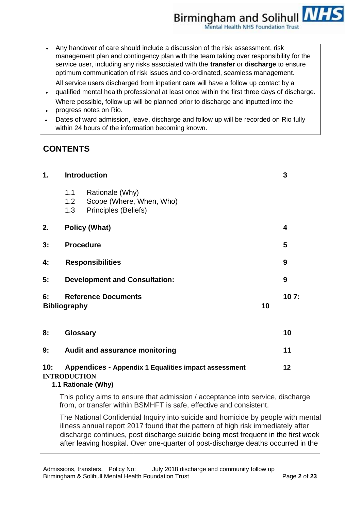Birmingham and Solihull **NI** Mental Health NHS Foundation Trust

- Any handover of care should include a discussion of the risk assessment, risk management plan and contingency plan with the team taking over responsibility for the service user, including any risks associated with the **transfer** or **discharge** to ensure optimum communication of risk issues and co-ordinated, seamless management.
- All service users discharged from inpatient care will have a follow up contact by a qualified mental health professional at least once within the first three days of discharge.
- Where possible, follow up will be planned prior to discharge and inputted into the progress notes on Rio.
- Dates of ward admission, leave, discharge and follow up will be recorded on Rio fully within 24 hours of the information becoming known.

# **CONTENTS**

| $\mathbf 1$ .              |                  | <b>Introduction</b>                                                     |    | 3    |
|----------------------------|------------------|-------------------------------------------------------------------------|----|------|
|                            | 1.1<br>1.2       | Rationale (Why)<br>Scope (Where, When, Who)<br>1.3 Principles (Beliefs) |    |      |
| 2.                         |                  | <b>Policy (What)</b>                                                    |    | 4    |
| 3:                         | <b>Procedure</b> |                                                                         |    | 5    |
| 4:                         |                  | <b>Responsibilities</b>                                                 |    | 9    |
| 5:                         |                  | <b>Development and Consultation:</b>                                    |    | 9    |
| 6:<br><b>Bibliography</b>  |                  | <b>Reference Documents</b>                                              | 10 | 107: |
| 8:                         | <b>Glossary</b>  |                                                                         |    | 10   |
| 9:                         |                  | <b>Audit and assurance monitoring</b>                                   |    | 11   |
| 10:<br><b>INTRODUCTION</b> |                  | Appendices - Appendix 1 Equalities impact assessment                    |    | 12   |

# **1.1 Rationale (Why)**

This policy aims to ensure that admission / acceptance into service, discharge from, or transfer within BSMHFT is safe, effective and consistent.

The National Confidential Inquiry into suicide and homicide by people with mental illness annual report 2017 found that the pattern of high risk immediately after discharge continues, post discharge suicide being most frequent in the first week after leaving hospital. Over one-quarter of post-discharge deaths occurred in the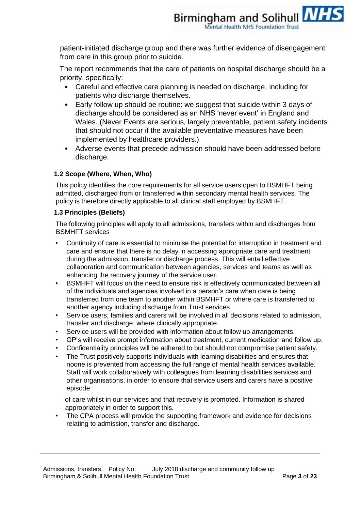patient-initiated discharge group and there was further evidence of disengagement from care in this group prior to suicide.

The report recommends that the care of patients on hospital discharge should be a priority, specifically:

- Careful and effective care planning is needed on discharge, including for patients who discharge themselves.
- Early follow up should be routine: we suggest that suicide within 3 days of discharge should be considered as an NHS 'never event' in England and Wales. (Never Events are serious, largely preventable, patient safety incidents that should not occur if the available preventative measures have been implemented by healthcare providers.)
- Adverse events that precede admission should have been addressed before discharge.

# **1.2 Scope (Where, When, Who)**

This policy identifies the core requirements for all service users open to BSMHFT being admitted, discharged from or transferred within secondary mental health services. The policy is therefore directly applicable to all clinical staff employed by BSMHFT.

# **1.3 Principles (Beliefs)**

The following principles will apply to all admissions, transfers within and discharges from BSMHFT services

- Continuity of care is essential to minimise the potential for interruption in treatment and care and ensure that there is no delay in accessing appropriate care and treatment during the admission, transfer or discharge process. This will entail effective collaboration and communication between agencies, services and teams as well as enhancing the recovery journey of the service user.
- BSMHFT will focus on the need to ensure risk is effectively communicated between all of the individuals and agencies involved in a person's care when care is being transferred from one team to another within BSMHFT or where care is transferred to another agency including discharge from Trust services.
- Service users, families and carers will be involved in all decisions related to admission, transfer and discharge, where clinically appropriate.
- Service users will be provided with information about follow up arrangements.
- GP's will receive prompt information about treatment, current medication and follow up.
- Confidentiality principles will be adhered to but should not compromise patient safety.
- The Trust positively supports individuals with learning disabilities and ensures that noone is prevented from accessing the full range of mental health services available. Staff will work collaboratively with colleagues from learning disabilities services and other organisations, in order to ensure that service users and carers have a positive episode

of care whilst in our services and that recovery is promoted. Information is shared appropriately in order to support this.

The CPA process will provide the supporting framework and evidence for decisions relating to admission, transfer and discharge.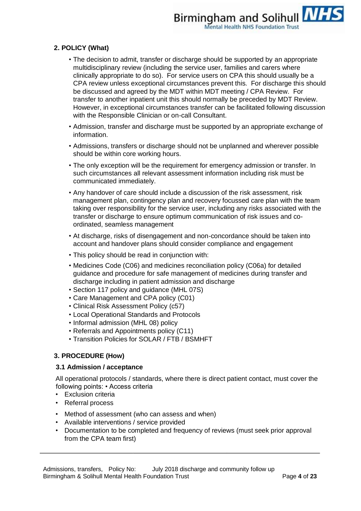# **2. POLICY (What)**

- The decision to admit, transfer or discharge should be supported by an appropriate multidisciplinary review (including the service user, families and carers where clinically appropriate to do so). For service users on CPA this should usually be a CPA review unless exceptional circumstances prevent this. For discharge this should be discussed and agreed by the MDT within MDT meeting / CPA Review. For transfer to another inpatient unit this should normally be preceded by MDT Review. However, in exceptional circumstances transfer can be facilitated following discussion with the Responsible Clinician or on-call Consultant.
- Admission, transfer and discharge must be supported by an appropriate exchange of information.
- Admissions, transfers or discharge should not be unplanned and wherever possible should be within core working hours.
- The only exception will be the requirement for emergency admission or transfer. In such circumstances all relevant assessment information including risk must be communicated immediately.
- Any handover of care should include a discussion of the risk assessment, risk management plan, contingency plan and recovery focussed care plan with the team taking over responsibility for the service user, including any risks associated with the transfer or discharge to ensure optimum communication of risk issues and coordinated, seamless management
- At discharge, risks of disengagement and non-concordance should be taken into account and handover plans should consider compliance and engagement
- This policy should be read in conjunction with:
- Medicines Code (C06) and medicines reconciliation policy (C06a) for detailed guidance and procedure for safe management of medicines during transfer and discharge including in patient admission and discharge
- Section 117 policy and guidance (MHL 07S)
- Care Management and CPA policy (C01)
- Clinical Risk Assessment Policy (c57)
- Local Operational Standards and Protocols
- Informal admission (MHL 08) policy
- Referrals and Appointments policy (C11)
- Transition Policies for SOLAR / FTB / BSMHFT

# **3. PROCEDURE (How)**

### **3.1 Admission / acceptance**

All operational protocols / standards, where there is direct patient contact, must cover the following points: • Access criteria

- Exclusion criteria
- Referral process
- Method of assessment (who can assess and when)
- Available interventions / service provided
- Documentation to be completed and frequency of reviews (must seek prior approval from the CPA team first)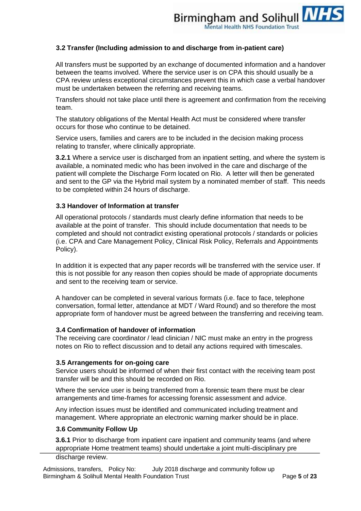# **3.2 Transfer (Including admission to and discharge from in-patient care)**

All transfers must be supported by an exchange of documented information and a handover between the teams involved. Where the service user is on CPA this should usually be a CPA review unless exceptional circumstances prevent this in which case a verbal handover must be undertaken between the referring and receiving teams.

Transfers should not take place until there is agreement and confirmation from the receiving team.

The statutory obligations of the Mental Health Act must be considered where transfer occurs for those who continue to be detained.

Service users, families and carers are to be included in the decision making process relating to transfer, where clinically appropriate.

**3.2.1** Where a service user is discharged from an inpatient setting, and where the system is available, a nominated medic who has been involved in the care and discharge of the patient will complete the Discharge Form located on Rio. A letter will then be generated and sent to the GP via the Hybrid mail system by a nominated member of staff. This needs to be completed within 24 hours of discharge.

### **3.3 Handover of Information at transfer**

All operational protocols / standards must clearly define information that needs to be available at the point of transfer. This should include documentation that needs to be completed and should not contradict existing operational protocols / standards or policies (i.e. CPA and Care Management Policy, Clinical Risk Policy, Referrals and Appointments Policy).

In addition it is expected that any paper records will be transferred with the service user. If this is not possible for any reason then copies should be made of appropriate documents and sent to the receiving team or service.

A handover can be completed in several various formats (i.e. face to face, telephone conversation, formal letter, attendance at MDT / Ward Round) and so therefore the most appropriate form of handover must be agreed between the transferring and receiving team.

### **3.4 Confirmation of handover of information**

The receiving care coordinator / lead clinician / NIC must make an entry in the progress notes on Rio to reflect discussion and to detail any actions required with timescales.

### **3.5 Arrangements for on-going care**

Service users should be informed of when their first contact with the receiving team post transfer will be and this should be recorded on Rio.

Where the service user is being transferred from a forensic team there must be clear arrangements and time-frames for accessing forensic assessment and advice.

Any infection issues must be identified and communicated including treatment and management. Where appropriate an electronic warning marker should be in place.

### **3.6 Community Follow Up**

**3.6.1** Prior to discharge from inpatient care inpatient and community teams (and where appropriate Home treatment teams) should undertake a joint multi-disciplinary pre

discharge review.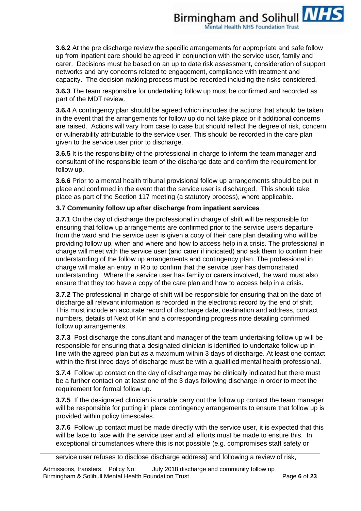**3.6.2** At the pre discharge review the specific arrangements for appropriate and safe follow up from inpatient care should be agreed in conjunction with the service user, family and carer. Decisions must be based on an up to date risk assessment, consideration of support networks and any concerns related to engagement, compliance with treatment and capacity. The decision making process must be recorded including the risks considered.

**3.6.3** The team responsible for undertaking follow up must be confirmed and recorded as part of the MDT review.

**3.6.4** A contingency plan should be agreed which includes the actions that should be taken in the event that the arrangements for follow up do not take place or if additional concerns are raised. Actions will vary from case to case but should reflect the degree of risk, concern or vulnerability attributable to the service user. This should be recorded in the care plan given to the service user prior to discharge.

**3.6.5** It is the responsibility of the professional in charge to inform the team manager and consultant of the responsible team of the discharge date and confirm the requirement for follow up.

**3.6.6** Prior to a mental health tribunal provisional follow up arrangements should be put in place and confirmed in the event that the service user is discharged. This should take place as part of the Section 117 meeting (a statutory process), where applicable.

## **3.7 Community follow up after discharge from inpatient services**

**3.7.1** On the day of discharge the professional in charge of shift will be responsible for ensuring that follow up arrangements are confirmed prior to the service users departure from the ward and the service user is given a copy of their care plan detailing who will be providing follow up, when and where and how to access help in a crisis. The professional in charge will meet with the service user (and carer if indicated) and ask them to confirm their understanding of the follow up arrangements and contingency plan. The professional in charge will make an entry in Rio to confirm that the service user has demonstrated understanding. Where the service user has family or carers involved, the ward must also ensure that they too have a copy of the care plan and how to access help in a crisis.

**3.7.2** The professional in charge of shift will be responsible for ensuring that on the date of discharge all relevant information is recorded in the electronic record by the end of shift. This must include an accurate record of discharge date, destination and address, contact numbers, details of Next of Kin and a corresponding progress note detailing confirmed follow up arrangements.

**3.7.3** Post discharge the consultant and manager of the team undertaking follow up will be responsible for ensuring that a designated clinician is identified to undertake follow up in line with the agreed plan but as a maximum within 3 days of discharge. At least one contact within the first three days of discharge must be with a qualified mental health professional.

**3.7.4** Follow up contact on the day of discharge may be clinically indicated but there must be a further contact on at least one of the 3 days following discharge in order to meet the requirement for formal follow up.

**3.7.5** If the designated clinician is unable carry out the follow up contact the team manager will be responsible for putting in place contingency arrangements to ensure that follow up is provided within policy timescales.

**3.7.6** Follow up contact must be made directly with the service user, it is expected that this will be face to face with the service user and all efforts must be made to ensure this. In exceptional circumstances where this is not possible (e.g. compromises staff safety or

service user refuses to disclose discharge address) and following a review of risk,

Admissions, transfers, Policy No: July 2018 discharge and community follow up Birmingham & Solihull Mental Health Foundation Trust Page **6** of **23**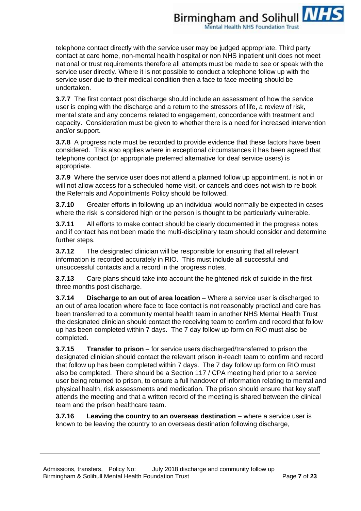telephone contact directly with the service user may be judged appropriate. Third party contact at care home, non-mental health hospital or non NHS inpatient unit does not meet national or trust requirements therefore all attempts must be made to see or speak with the service user directly. Where it is not possible to conduct a telephone follow up with the service user due to their medical condition then a face to face meeting should be undertaken.

**3.7.7** The first contact post discharge should include an assessment of how the service user is coping with the discharge and a return to the stressors of life, a review of risk, mental state and any concerns related to engagement, concordance with treatment and capacity. Consideration must be given to whether there is a need for increased intervention and/or support.

**3.7.8** A progress note must be recorded to provide evidence that these factors have been considered. This also applies where in exceptional circumstances it has been agreed that telephone contact (or appropriate preferred alternative for deaf service users) is appropriate.

**3.7.9** Where the service user does not attend a planned follow up appointment, is not in or will not allow access for a scheduled home visit, or cancels and does not wish to re book the Referrals and Appointments Policy should be followed.

**3.7.10** Greater efforts in following up an individual would normally be expected in cases where the risk is considered high or the person is thought to be particularly vulnerable.

**3.7.11** All efforts to make contact should be clearly documented in the progress notes and if contact has not been made the multi-disciplinary team should consider and determine further steps.

**3.7.12** The designated clinician will be responsible for ensuring that all relevant information is recorded accurately in RIO. This must include all successful and unsuccessful contacts and a record in the progress notes.

**3.7.13** Care plans should take into account the heightened risk of suicide in the first three months post discharge.

**3.7.14 Discharge to an out of area location** – Where a service user is discharged to an out of area location where face to face contact is not reasonably practical and care has been transferred to a community mental health team in another NHS Mental Health Trust the designated clinician should contact the receiving team to confirm and record that follow up has been completed within 7 days. The 7 day follow up form on RIO must also be completed.

**3.7.15 Transfer to prison** – for service users discharged/transferred to prison the designated clinician should contact the relevant prison in-reach team to confirm and record that follow up has been completed within 7 days. The 7 day follow up form on RIO must also be completed. There should be a Section 117 / CPA meeting held prior to a service user being returned to prison, to ensure a full handover of information relating to mental and physical health, risk assessments and medication. The prison should ensure that key staff attends the meeting and that a written record of the meeting is shared between the clinical team and the prison healthcare team.

**3.7.16 Leaving the country to an overseas destination** – where a service user is known to be leaving the country to an overseas destination following discharge,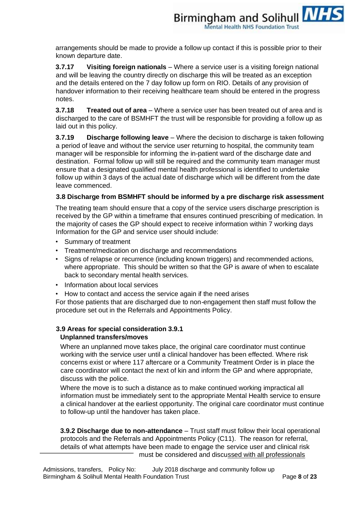arrangements should be made to provide a follow up contact if this is possible prior to their known departure date.

**3.7.17 Visiting foreign nationals** – Where a service user is a visiting foreign national and will be leaving the country directly on discharge this will be treated as an exception and the details entered on the 7 day follow up form on RIO. Details of any provision of handover information to their receiving healthcare team should be entered in the progress notes.

**3.7.18 Treated out of area** – Where a service user has been treated out of area and is discharged to the care of BSMHFT the trust will be responsible for providing a follow up as laid out in this policy.

**3.7.19 Discharge following leave** – Where the decision to discharge is taken following a period of leave and without the service user returning to hospital, the community team manager will be responsible for informing the in-patient ward of the discharge date and destination. Formal follow up will still be required and the community team manager must ensure that a designated qualified mental health professional is identified to undertake follow up within 3 days of the actual date of discharge which will be different from the date leave commenced.

# **3.8 Discharge from BSMHFT should be informed by a pre discharge risk assessment**

The treating team should ensure that a copy of the service users discharge prescription is received by the GP within a timeframe that ensures continued prescribing of medication. In the majority of cases the GP should expect to receive information within 7 working days Information for the GP and service user should include:

- Summary of treatment
- Treatment/medication on discharge and recommendations
- Signs of relapse or recurrence (including known triggers) and recommended actions, where appropriate. This should be written so that the GP is aware of when to escalate back to secondary mental health services.
- Information about local services
- How to contact and access the service again if the need arises

For those patients that are discharged due to non-engagement then staff must follow the procedure set out in the Referrals and Appointments Policy.

## **3.9 Areas for special consideration 3.9.1 Unplanned transfers/moves**

Where an unplanned move takes place, the original care coordinator must continue working with the service user until a clinical handover has been effected. Where risk concerns exist or where 117 aftercare or a Community Treatment Order is in place the care coordinator will contact the next of kin and inform the GP and where appropriate, discuss with the police.

Where the move is to such a distance as to make continued working impractical all information must be immediately sent to the appropriate Mental Health service to ensure a clinical handover at the earliest opportunity. The original care coordinator must continue to follow-up until the handover has taken place.

**3.9.2 Discharge due to non-attendance** – Trust staff must follow their local operational protocols and the Referrals and Appointments Policy (C11). The reason for referral, details of what attempts have been made to engage the service user and clinical risk must be considered and discussed with all professionals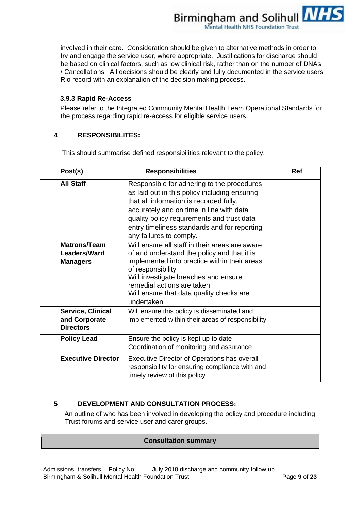involved in their care. Consideration should be given to alternative methods in order to try and engage the service user, where appropriate. Justifications for discharge should be based on clinical factors, such as low clinical risk, rather than on the number of DNAs / Cancellations. All decisions should be clearly and fully documented in the service users Rio record with an explanation of the decision making process.

## **3.9.3 Rapid Re-Access**

Please refer to the Integrated Community Mental Health Team Operational Standards for the process regarding rapid re-access for eligible service users.

# **4 RESPONSIBILITES:**

This should summarise defined responsibilities relevant to the policy.

| Post(s)                                                       | <b>Responsibilities</b>                                                                                                                                                                                                                                                                                     | Ref |
|---------------------------------------------------------------|-------------------------------------------------------------------------------------------------------------------------------------------------------------------------------------------------------------------------------------------------------------------------------------------------------------|-----|
| <b>All Staff</b>                                              | Responsible for adhering to the procedures<br>as laid out in this policy including ensuring<br>that all information is recorded fully,<br>accurately and on time in line with data<br>quality policy requirements and trust data<br>entry timeliness standards and for reporting<br>any failures to comply. |     |
| <b>Matrons/Team</b><br>Leaders/Ward<br><b>Managers</b>        | Will ensure all staff in their areas are aware<br>of and understand the policy and that it is<br>implemented into practice within their areas<br>of responsibility<br>Will investigate breaches and ensure<br>remedial actions are taken<br>Will ensure that data quality checks are<br>undertaken          |     |
| <b>Service, Clinical</b><br>and Corporate<br><b>Directors</b> | Will ensure this policy is disseminated and<br>implemented within their areas of responsibility                                                                                                                                                                                                             |     |
| <b>Policy Lead</b>                                            | Ensure the policy is kept up to date -<br>Coordination of monitoring and assurance                                                                                                                                                                                                                          |     |
| <b>Executive Director</b>                                     | Executive Director of Operations has overall<br>responsibility for ensuring compliance with and<br>timely review of this policy                                                                                                                                                                             |     |

# **5 DEVELOPMENT AND CONSULTATION PROCESS:**

An outline of who has been involved in developing the policy and procedure including Trust forums and service user and carer groups.

### **Consultation summary**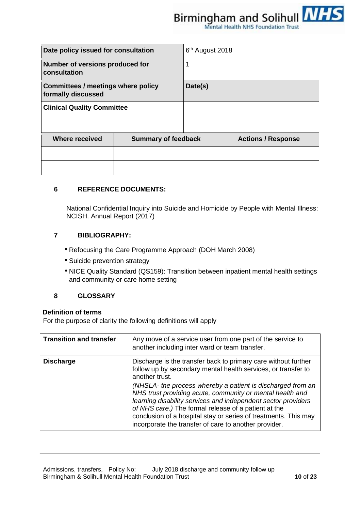

Mental Health NHS Foundation Trust

| Date policy issued for consultation                      |                            | 6 <sup>th</sup> August 2018 |                           |
|----------------------------------------------------------|----------------------------|-----------------------------|---------------------------|
| Number of versions produced for<br>consultation          |                            |                             |                           |
| Committees / meetings where policy<br>formally discussed |                            | Date(s)                     |                           |
| <b>Clinical Quality Committee</b>                        |                            |                             |                           |
|                                                          |                            |                             |                           |
| Where received                                           | <b>Summary of feedback</b> |                             | <b>Actions / Response</b> |
|                                                          |                            |                             |                           |
|                                                          |                            |                             |                           |

#### **6 REFERENCE DOCUMENTS:**

National Confidential Inquiry into Suicide and Homicide by People with Mental Illness: NCISH. Annual Report (2017)

### **7 BIBLIOGRAPHY:**

- Refocusing the Care Programme Approach (DOH March 2008)
- Suicide prevention strategy
- NICE Quality Standard (QS159): Transition between inpatient mental health settings and community or care home setting

### **8 GLOSSARY**

#### **Definition of terms**

For the purpose of clarity the following definitions will apply

| <b>Transition and transfer</b> | Any move of a service user from one part of the service to<br>another including inter ward or team transfer.                                                                                                                                                                                                                                                                                                                                                                                                                       |
|--------------------------------|------------------------------------------------------------------------------------------------------------------------------------------------------------------------------------------------------------------------------------------------------------------------------------------------------------------------------------------------------------------------------------------------------------------------------------------------------------------------------------------------------------------------------------|
| <b>Discharge</b>               | Discharge is the transfer back to primary care without further<br>follow up by secondary mental health services, or transfer to<br>another trust.<br>(NHSLA- the process whereby a patient is discharged from an<br>NHS trust providing acute, community or mental health and<br>learning disability services and independent sector providers<br>of NHS care.) The formal release of a patient at the<br>conclusion of a hospital stay or series of treatments. This may<br>incorporate the transfer of care to another provider. |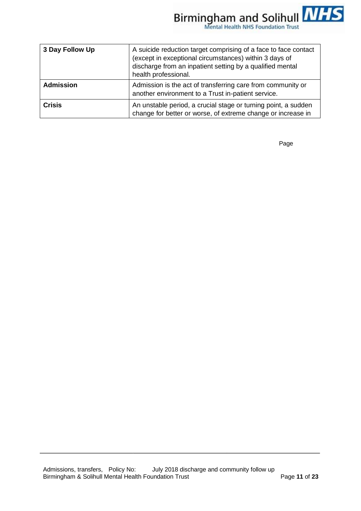| 3 Day Follow Up  | A suicide reduction target comprising of a face to face contact<br>(except in exceptional circumstances) within 3 days of<br>discharge from an inpatient setting by a qualified mental<br>health professional. |
|------------------|----------------------------------------------------------------------------------------------------------------------------------------------------------------------------------------------------------------|
| <b>Admission</b> | Admission is the act of transferring care from community or<br>another environment to a Trust in-patient service.                                                                                              |
| <b>Crisis</b>    | An unstable period, a crucial stage or turning point, a sudden<br>change for better or worse, of extreme change or increase in                                                                                 |

Page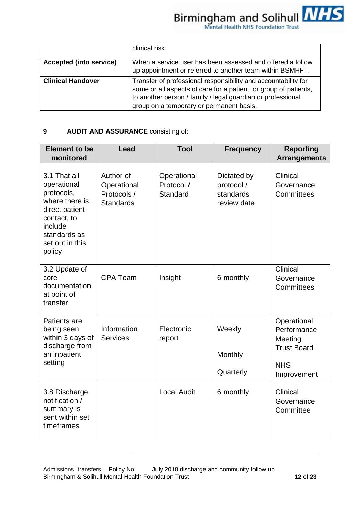|                                | clinical risk.                                                                                                                                                                                                                                |
|--------------------------------|-----------------------------------------------------------------------------------------------------------------------------------------------------------------------------------------------------------------------------------------------|
| <b>Accepted (into service)</b> | When a service user has been assessed and offered a follow<br>up appointment or referred to another team within BSMHFT.                                                                                                                       |
| <b>Clinical Handover</b>       | Transfer of professional responsibility and accountability for<br>some or all aspects of care for a patient, or group of patients,<br>to another person / family / legal guardian or professional<br>group on a temporary or permanent basis. |

# **9 AUDIT AND ASSURANCE** consisting of:

| <b>Element to be</b><br>monitored                                                                                                                    | Lead                                                        | <b>Tool</b>                           | <b>Frequency</b>                                      | <b>Reporting</b><br><b>Arrangements</b>                                                  |
|------------------------------------------------------------------------------------------------------------------------------------------------------|-------------------------------------------------------------|---------------------------------------|-------------------------------------------------------|------------------------------------------------------------------------------------------|
| 3.1 That all<br>operational<br>protocols,<br>where there is<br>direct patient<br>contact, to<br>include<br>standards as<br>set out in this<br>policy | Author of<br>Operational<br>Protocols /<br><b>Standards</b> | Operational<br>Protocol /<br>Standard | Dictated by<br>protocol /<br>standards<br>review date | Clinical<br>Governance<br>Committees                                                     |
| 3.2 Update of<br>core<br>documentation<br>at point of<br>transfer                                                                                    | <b>CPA Team</b>                                             | Insight                               | 6 monthly                                             | Clinical<br>Governance<br>Committees                                                     |
| Patients are<br>being seen<br>within 3 days of<br>discharge from<br>an inpatient<br>setting                                                          | Information<br>Services                                     | Electronic<br>report                  | Weekly<br>Monthly<br>Quarterly                        | Operational<br>Performance<br>Meeting<br><b>Trust Board</b><br><b>NHS</b><br>Improvement |
| 3.8 Discharge<br>notification /<br>summary is<br>sent within set<br>timeframes                                                                       |                                                             | <b>Local Audit</b>                    | 6 monthly                                             | Clinical<br>Governance<br>Committee                                                      |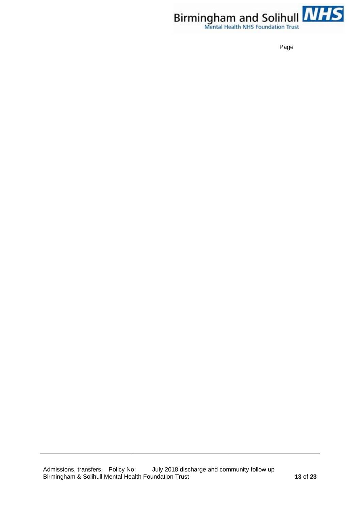

Page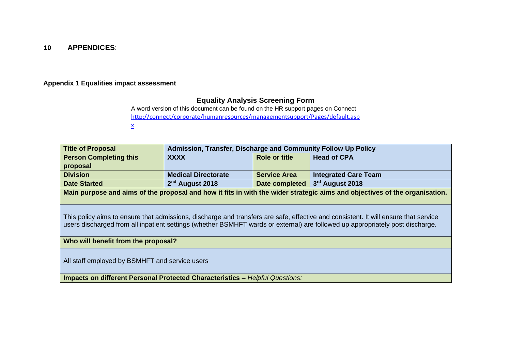### **Appendix 1 Equalities impact assessment**

# **Equality Analysis Screening Form**

A word version of this document can be found on the HR support pages on Connect [http://connect/corporate/humanresources/managementsupport/Pages/default.asp](http://connect/corporate/humanresources/managementsupport/Pages/default.aspx)

[x](http://connect/corporate/humanresources/managementsupport/Pages/default.aspx)

| <b>Title of Proposal</b>      | Admission, Transfer, Discharge and Community Follow Up Policy |                     |                               |  |
|-------------------------------|---------------------------------------------------------------|---------------------|-------------------------------|--|
| <b>Person Completing this</b> | <b>XXXX</b>                                                   | Role or title       | <b>Head of CPA</b>            |  |
| proposal                      |                                                               |                     |                               |  |
| <b>Division</b>               | <b>Medical Directorate</b>                                    | <b>Service Area</b> | <b>Integrated Care Team</b>   |  |
| <b>Date Started</b>           | 2 <sup>nd</sup> August 2018                                   | Date completed      | 1 3 <sup>rd</sup> August 2018 |  |

**Main purpose and aims of the proposal and how it fits in with the wider strategic aims and objectives of the organisation.** 

This policy aims to ensure that admissions, discharge and transfers are safe, effective and consistent. It will ensure that service users discharged from all inpatient settings (whether BSMHFT wards or external) are followed up appropriately post discharge.

**Who will benefit from the proposal?** 

All staff employed by BSMHFT and service users

**Impacts on different Personal Protected Characteristics –** *Helpful Questions:*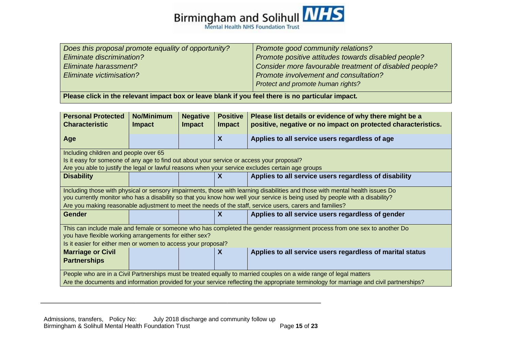

| Does this proposal promote equality of opportunity? | Promote good community relations?                      |
|-----------------------------------------------------|--------------------------------------------------------|
| <b>Eliminate discrimination?</b>                    | Promote positive attitudes towards disabled people?    |
| <b>Eliminate harassment?</b>                        | Consider more favourable treatment of disabled people? |
| <b>Eliminate victimisation?</b>                     | Promote involvement and consultation?                  |
|                                                     | Protect and promote human rights?                      |
|                                                     |                                                        |

**Please click in the relevant impact box or leave blank if you feel there is no particular impact.** 

| <b>Personal Protected</b><br><b>Characteristic</b>                                                                                                                                                                                                            | No/Minimum<br><b>Impact</b>                                                                                                                                                                                                                                                                                                                                               | <b>Negative</b><br><b>Impact</b> | <b>Positive</b><br><b>Impact</b> | Please list details or evidence of why there might be a<br>positive, negative or no impact on protected characteristics. |  |  |
|---------------------------------------------------------------------------------------------------------------------------------------------------------------------------------------------------------------------------------------------------------------|---------------------------------------------------------------------------------------------------------------------------------------------------------------------------------------------------------------------------------------------------------------------------------------------------------------------------------------------------------------------------|----------------------------------|----------------------------------|--------------------------------------------------------------------------------------------------------------------------|--|--|
| Age                                                                                                                                                                                                                                                           |                                                                                                                                                                                                                                                                                                                                                                           |                                  | $\boldsymbol{\mathsf{X}}$        | Applies to all service users regardless of age                                                                           |  |  |
|                                                                                                                                                                                                                                                               | Including children and people over 65<br>Is it easy for someone of any age to find out about your service or access your proposal?<br>Are you able to justify the legal or lawful reasons when your service excludes certain age groups                                                                                                                                   |                                  |                                  |                                                                                                                          |  |  |
| <b>Disability</b>                                                                                                                                                                                                                                             |                                                                                                                                                                                                                                                                                                                                                                           |                                  | $\boldsymbol{X}$                 | Applies to all service users regardless of disability                                                                    |  |  |
|                                                                                                                                                                                                                                                               | Including those with physical or sensory impairments, those with learning disabilities and those with mental health issues Do<br>you currently monitor who has a disability so that you know how well your service is being used by people with a disability?<br>Are you making reasonable adjustment to meet the needs of the staff, service users, carers and families? |                                  |                                  |                                                                                                                          |  |  |
| <b>Gender</b>                                                                                                                                                                                                                                                 |                                                                                                                                                                                                                                                                                                                                                                           |                                  | $\boldsymbol{\mathsf{X}}$        | Applies to all service users regardless of gender                                                                        |  |  |
| This can include male and female or someone who has completed the gender reassignment process from one sex to another Do<br>you have flexible working arrangements for either sex?<br>Is it easier for either men or women to access your proposal?           |                                                                                                                                                                                                                                                                                                                                                                           |                                  |                                  |                                                                                                                          |  |  |
| <b>Marriage or Civil</b><br><b>Partnerships</b>                                                                                                                                                                                                               |                                                                                                                                                                                                                                                                                                                                                                           |                                  | X                                | Applies to all service users regardless of marital status                                                                |  |  |
| People who are in a Civil Partnerships must be treated equally to married couples on a wide range of legal matters<br>Are the documents and information provided for your service reflecting the appropriate terminology for marriage and civil partnerships? |                                                                                                                                                                                                                                                                                                                                                                           |                                  |                                  |                                                                                                                          |  |  |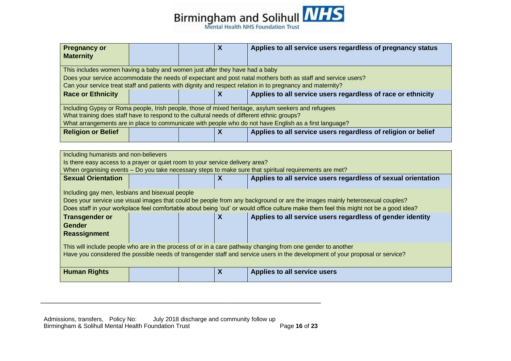

| <b>Pregnancy or</b><br><b>Maternity</b>                                                            |  |                                                                                                            | X | Applies to all service users regardless of pregnancy status                                                  |
|----------------------------------------------------------------------------------------------------|--|------------------------------------------------------------------------------------------------------------|---|--------------------------------------------------------------------------------------------------------------|
| This includes women having a baby and women just after they have had a baby                        |  |                                                                                                            |   |                                                                                                              |
|                                                                                                    |  |                                                                                                            |   | Does your service accommodate the needs of expectant and post natal mothers both as staff and service users? |
|                                                                                                    |  | Can your service treat staff and patients with dignity and respect relation in to pregnancy and maternity? |   |                                                                                                              |
| <b>Race or Ethnicity</b>                                                                           |  |                                                                                                            |   | Applies to all service users regardless of race or ethnicity                                                 |
| Including Gypsy or Roma people, Irish people, those of mixed heritage, asylum seekers and refugees |  |                                                                                                            |   |                                                                                                              |
|                                                                                                    |  |                                                                                                            |   |                                                                                                              |
| What training does staff have to respond to the cultural needs of different ethnic groups?         |  |                                                                                                            |   |                                                                                                              |
|                                                                                                    |  |                                                                                                            |   | What arrangements are in place to communicate with people who do not have English as a first language?       |

| Including humanists and non-believers                                                                                                 |  |  |   |                                                               |  |  |  |
|---------------------------------------------------------------------------------------------------------------------------------------|--|--|---|---------------------------------------------------------------|--|--|--|
| Is there easy access to a prayer or quiet room to your service delivery area?                                                         |  |  |   |                                                               |  |  |  |
| When organising events – Do you take necessary steps to make sure that spiritual requirements are met?                                |  |  |   |                                                               |  |  |  |
| <b>Sexual Orientation</b>                                                                                                             |  |  | X | Applies to all service users regardless of sexual orientation |  |  |  |
| Including gay men, lesbians and bisexual people                                                                                       |  |  |   |                                                               |  |  |  |
| Does your service use visual images that could be people from any background or are the images mainly heterosexual couples?           |  |  |   |                                                               |  |  |  |
| Does staff in your workplace feel comfortable about being 'out' or would office culture make them feel this might not be a good idea? |  |  |   |                                                               |  |  |  |
| <b>Transgender or</b>                                                                                                                 |  |  | X | Applies to all service users regardless of gender identity    |  |  |  |
| <b>Gender</b>                                                                                                                         |  |  |   |                                                               |  |  |  |
| <b>Reassignment</b>                                                                                                                   |  |  |   |                                                               |  |  |  |
| This will include people who are in the process of or in a care pathway changing from one gender to another                           |  |  |   |                                                               |  |  |  |
| Have you considered the possible needs of transgender staff and service users in the development of your proposal or service?         |  |  |   |                                                               |  |  |  |
| <b>Human Rights</b>                                                                                                                   |  |  | X | Applies to all service users                                  |  |  |  |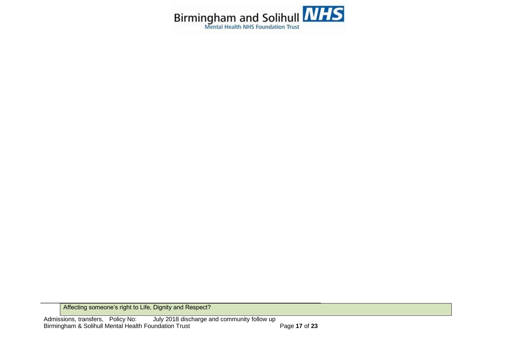

Affecting someone's right to Life, Dignity and Respect?

Admissions, transfers, Policy No: July 2018 discharge and community follow up Birmingham & Solihull Mental Health Foundation Trust Page **17** of **23**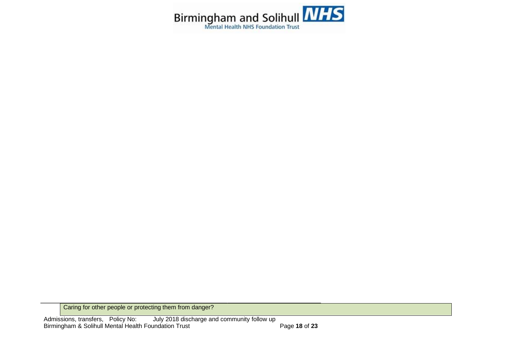

Caring for other people or protecting them from danger?

Admissions, transfers, Policy No: July 2018 discharge and community follow up Birmingham & Solihull Mental Health Foundation Trust Page **18** of **23**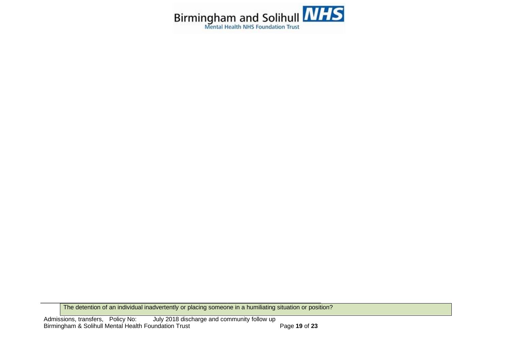

The detention of an individual inadvertently or placing someone in a humiliating situation or position?

Admissions, transfers, Policy No: July 2018 discharge and community follow up Birmingham & Solihull Mental Health Foundation Trust Page **19** of **23**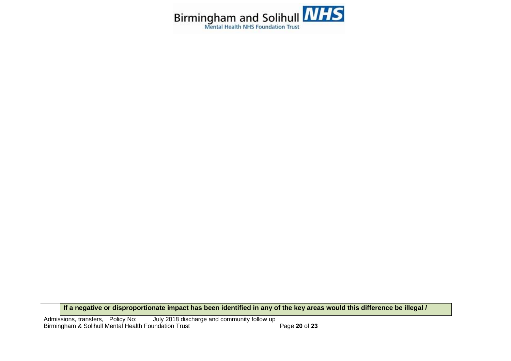

**If a negative or disproportionate impact has been identified in any of the key areas would this difference be illegal /** 

Admissions, transfers, Policy No: July 2018 discharge and community follow up Birmingham & Solihull Mental Health Foundation Trust Page **20** of **23**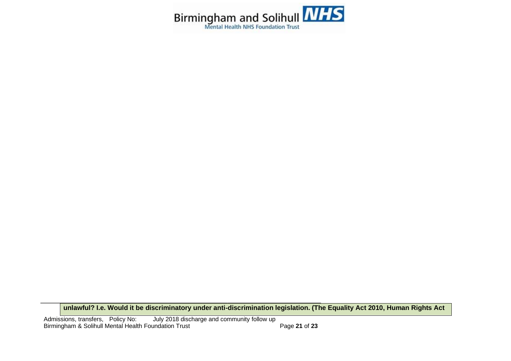

**unlawful? I.e. Would it be discriminatory under anti-discrimination legislation. (The Equality Act 2010, Human Rights Act** 

Admissions, transfers, Policy No: July 2018 discharge and community follow up Birmingham & Solihull Mental Health Foundation Trust Page **21** of **23**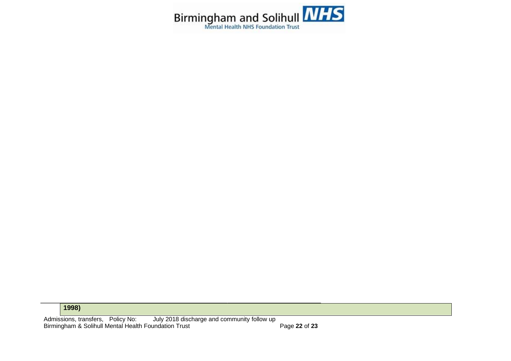

#### **1998)**

Admissions, transfers, Policy No: July 2018 discharge and community follow up Birmingham & Solihull Mental Health Foundation Trust Page **22** of **23**